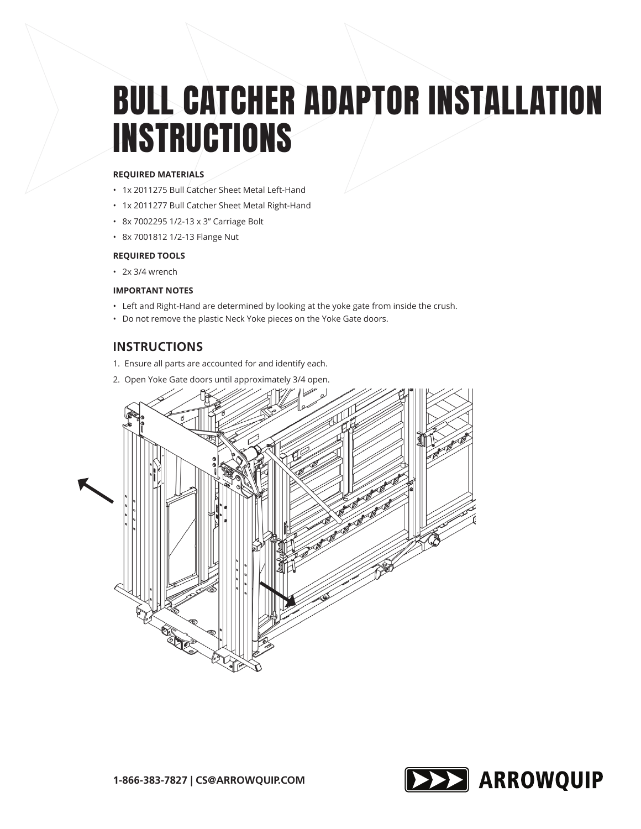# BULL CATCHER ADAPTOR INSTALLATION **INSTRUCTIONS**

#### **REQUIRED MATERIALS**

- 1x 2011275 Bull Catcher Sheet Metal Left-Hand
- 1x 2011277 Bull Catcher Sheet Metal Right-Hand
- 8x 7002295 1/2-13 x 3" Carriage Bolt
- 8x 7001812 1/2-13 Flange Nut

#### **REQUIRED TOOLS**

• 2x 3/4 wrench

#### **IMPORTANT NOTES**

- Left and Right-Hand are determined by looking at the yoke gate from inside the crush.
- Do not remove the plastic Neck Yoke pieces on the Yoke Gate doors.

## **INSTRUCTIONS**

- 1. Ensure all parts are accounted for and identify each.
- 2. Open Yoke Gate doors until approximately 3/4 open.



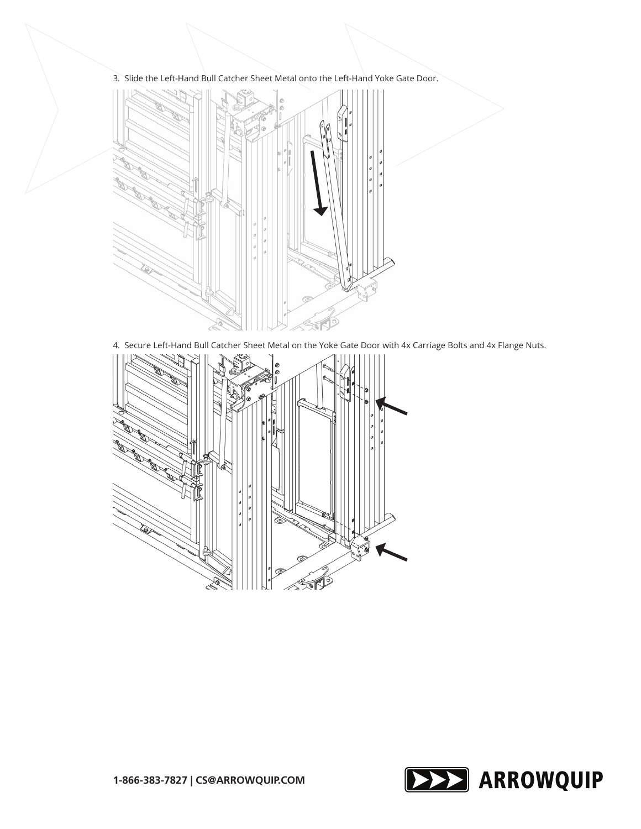3. Slide the Left-Hand Bull Catcher Sheet Metal onto the Left-Hand Yoke Gate Door.



4. Secure Left-Hand Bull Catcher Sheet Metal on the Yoke Gate Door with 4x Carriage Bolts and 4x Flange Nuts.



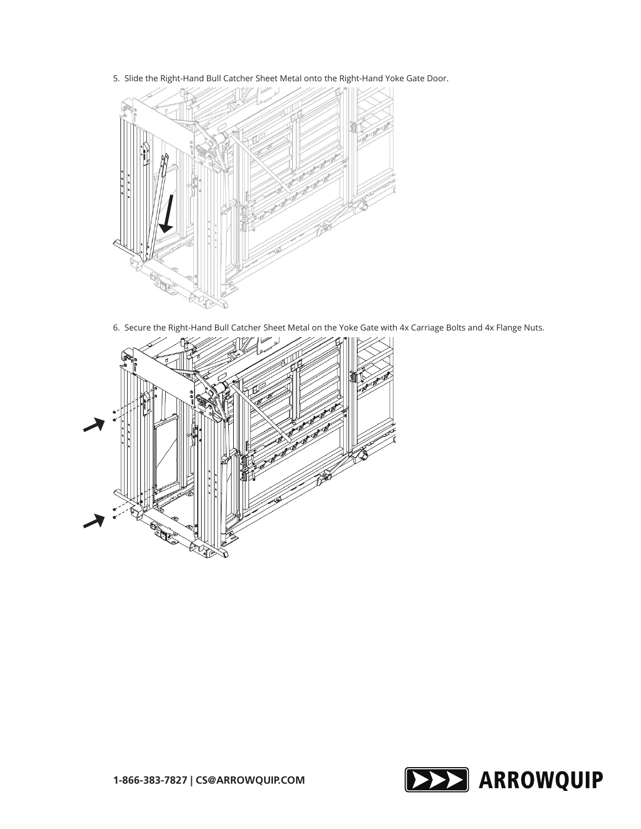5. Slide the Right-Hand Bull Catcher Sheet Metal onto the Right-Hand Yoke Gate Door.



6. Secure the Right-Hand Bull Catcher Sheet Metal on the Yoke Gate with 4x Carriage Bolts and 4x Flange Nuts.



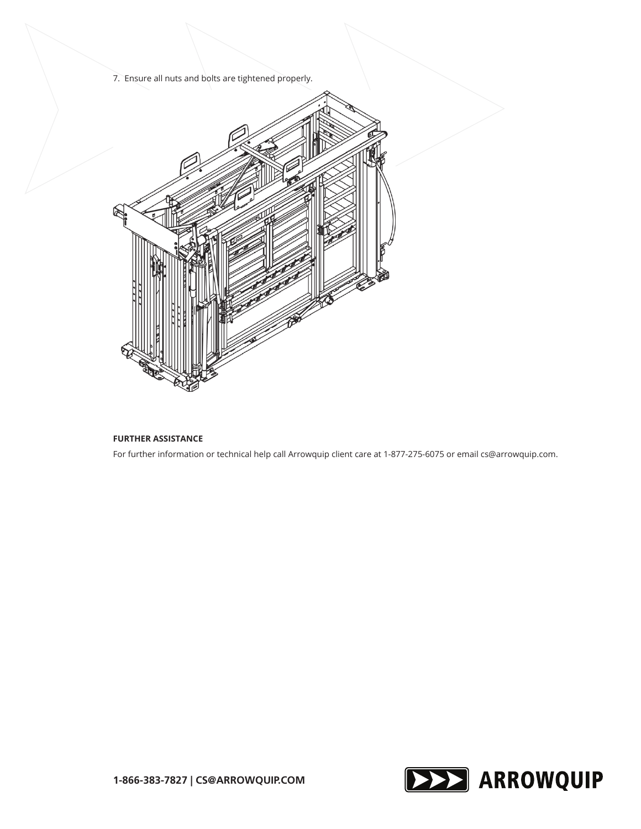7. Ensure all nuts and bolts are tightened properly.



### **FURTHER ASSISTANCE**

For further information or technical help call Arrowquip client care at 1-877-275-6075 or email cs@arrowquip.com.